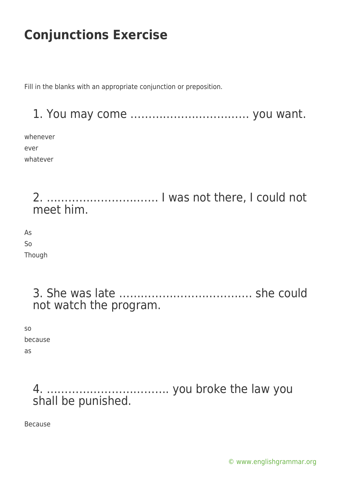Fill in the blanks with an appropriate conjunction or preposition.

1. You may come …………………………… you want.

whenever ever whatever

> 2. …………………………. I was not there, I could not meet him.

As So Though

> 3. She was late ………………………………. she could not watch the program.

so because as

> 4. ……………………………. you broke the law you shall be punished.

Because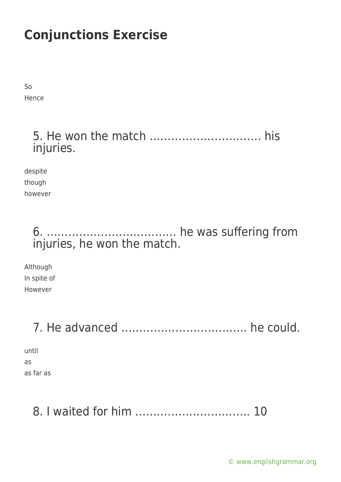So Hence

### 5. He won the match …………………………. his injuries.

despite though however

### 6. ……………………………… he was suffering from injuries, he won the match.

Although In spite of However

# 7. He advanced …………………………….. he could.

until as as far as

# 8. I waited for him ………………………….. 10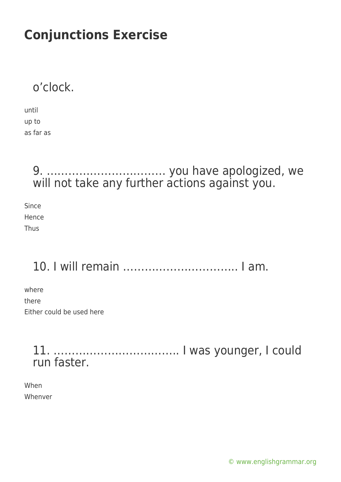### o'clock.

| until     |
|-----------|
| up to     |
| as far as |

### 9. …………………………… you have apologized, we will not take any further actions against you.

Since Hence Thus

# 10. I will remain ………………………….. I am.

where there Either could be used here

### 11. …………………………….. I was younger, I could run faster.

When Whenver